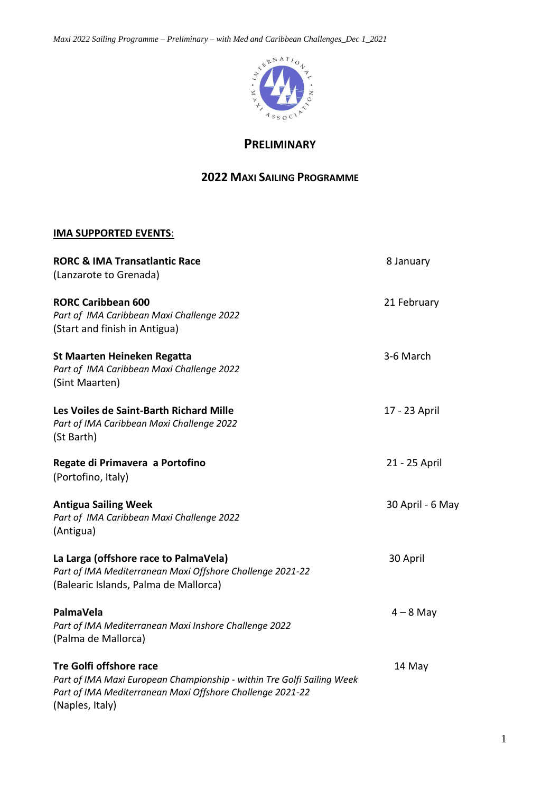*Maxi 2022 Sailing Programme – Preliminary – with Med and Caribbean Challenges\_Dec 1\_2021*



# **PRELIMINARY**

### **2022 MAXI SAILING PROGRAMME**

### **IMA SUPPORTED EVENTS**:

| <b>RORC &amp; IMA Transatlantic Race</b><br>(Lanzarote to Grenada)                                                                                                                       | 8 January        |
|------------------------------------------------------------------------------------------------------------------------------------------------------------------------------------------|------------------|
| <b>RORC Caribbean 600</b><br>Part of IMA Caribbean Maxi Challenge 2022<br>(Start and finish in Antigua)                                                                                  | 21 February      |
| <b>St Maarten Heineken Regatta</b><br>Part of IMA Caribbean Maxi Challenge 2022<br>(Sint Maarten)                                                                                        | 3-6 March        |
| Les Voiles de Saint-Barth Richard Mille<br>Part of IMA Caribbean Maxi Challenge 2022<br>(St Barth)                                                                                       | 17 - 23 April    |
| Regate di Primavera a Portofino<br>(Portofino, Italy)                                                                                                                                    | 21 - 25 April    |
| <b>Antigua Sailing Week</b><br>Part of IMA Caribbean Maxi Challenge 2022<br>(Antigua)                                                                                                    | 30 April - 6 May |
| La Larga (offshore race to PalmaVela)<br>Part of IMA Mediterranean Maxi Offshore Challenge 2021-22<br>(Balearic Islands, Palma de Mallorca)                                              | 30 April         |
| PalmaVela<br>Part of IMA Mediterranean Maxi Inshore Challenge 2022<br>(Palma de Mallorca)                                                                                                | $4 - 8$ May      |
| <b>Tre Golfi offshore race</b><br>Part of IMA Maxi European Championship - within Tre Golfi Sailing Week<br>Part of IMA Mediterranean Maxi Offshore Challenge 2021-22<br>(Naples, Italy) | 14 May           |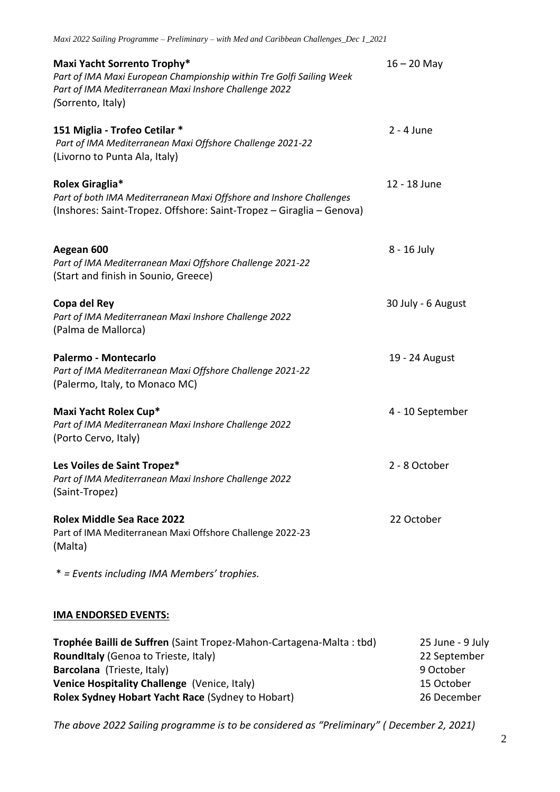| Maxi Yacht Sorrento Trophy*<br>Part of IMA Maxi European Championship within Tre Golfi Sailing Week<br>Part of IMA Mediterranean Maxi Inshore Challenge 2022<br>(Sorrento, Italy) | $16 - 20$ May      |
|-----------------------------------------------------------------------------------------------------------------------------------------------------------------------------------|--------------------|
| 151 Miglia - Trofeo Cetilar *<br>Part of IMA Mediterranean Maxi Offshore Challenge 2021-22<br>(Livorno to Punta Ala, Italy)                                                       | $2 - 4$ June       |
| Rolex Giraglia*<br>Part of both IMA Mediterranean Maxi Offshore and Inshore Challenges<br>(Inshores: Saint-Tropez. Offshore: Saint-Tropez - Giraglia - Genova)                    | 12 - 18 June       |
| Aegean 600<br>Part of IMA Mediterranean Maxi Offshore Challenge 2021-22<br>(Start and finish in Sounio, Greece)                                                                   | 8 - 16 July        |
| Copa del Rey<br>Part of IMA Mediterranean Maxi Inshore Challenge 2022<br>(Palma de Mallorca)                                                                                      | 30 July - 6 August |
| Palermo - Montecarlo<br>Part of IMA Mediterranean Maxi Offshore Challenge 2021-22<br>(Palermo, Italy, to Monaco MC)                                                               | 19 - 24 August     |
| Maxi Yacht Rolex Cup*<br>Part of IMA Mediterranean Maxi Inshore Challenge 2022<br>(Porto Cervo, Italy)                                                                            | 4 - 10 September   |
| Les Voiles de Saint Tropez*<br>Part of IMA Mediterranean Maxi Inshore Challenge 2022<br>(Saint-Tropez)                                                                            | 2 - 8 October      |
| <b>Rolex Middle Sea Race 2022</b><br>Part of IMA Mediterranean Maxi Offshore Challenge 2022-23<br>(Malta)                                                                         | 22 October         |
| * = Events including IMA Members' trophies.                                                                                                                                       |                    |
| <b>IMA ENDORSED EVENTS:</b>                                                                                                                                                       |                    |

| 25 June - 9 July |
|------------------|
| 22 September     |
| 9 October        |
| 15 October       |
| 26 December      |
|                  |

*The above 2022 Sailing programme is to be considered as "Preliminary" ( December 2, 2021)*